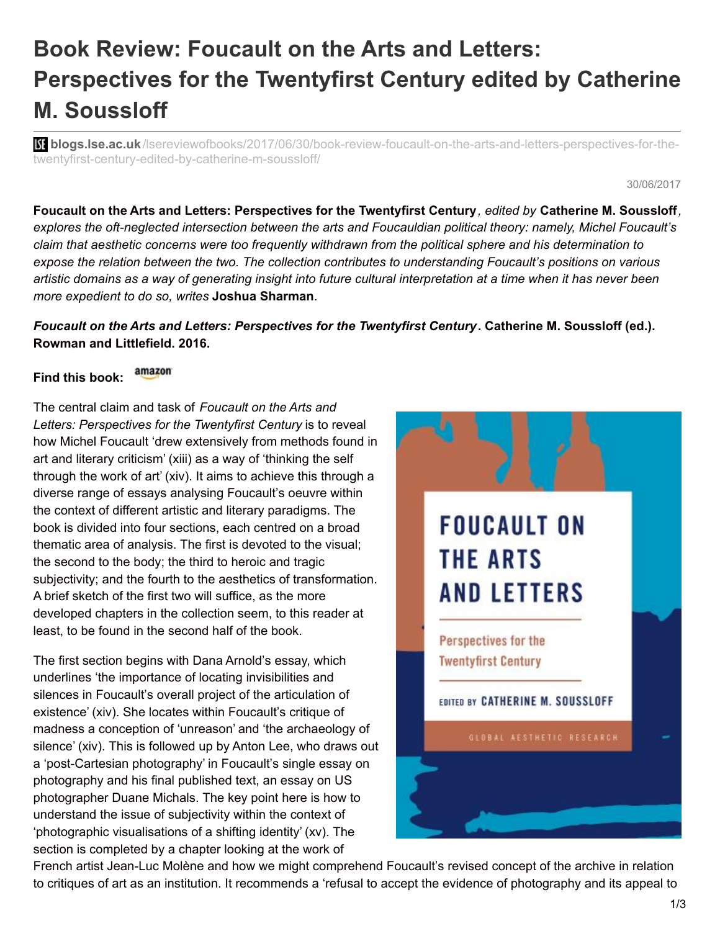## **Book Review: Foucault on the Arts and Letters: Perspectives for the Twentyfirst Century edited by Catherine M. Soussloff**

**blogs.lse.ac.uk**[/lsereviewofbooks/2017/06/30/book-review-foucault-on-the-arts-and-letters-perspectives-for-the](http://blogs.lse.ac.uk/lsereviewofbooks/2017/06/30/book-review-foucault-on-the-arts-and-letters-perspectives-for-the-twentyfirst-century-edited-by-catherine-m-soussloff/)twentyfirst-century-edited-by-catherine-m-soussloff/

30/06/2017

Foucault on the Arts and Letters: Perspectives for the Twentyfirst Century, edited by Catherine M. Soussloff, *explores the oft-neglected intersection between the arts and Foucauldian political theory: namely, Michel Foucault's claim that aesthetic concerns were too frequently withdrawn from the political sphere and his determination to expose the relation between the two. The collection contributes to understanding Foucault's positions on various* artistic domains as a way of generating insight into future cultural interpretation at a time when it has never been *more expedient to do so, writes* **Joshua Sharman***.*

## *Foucault on the Arts and Letters: Perspectives for the Twentyfirst Century***. Catherine M. Soussloff (ed.). Rowman and Littlefield. 2016.**

## amazon **Find this book:**

The central claim and task of *Foucault on the Arts and Letters: Perspectives for the Twentyfirst Century* is to reveal how Michel Foucault 'drew extensively from methods found in art and literary criticism' (xiii) as a way of 'thinking the self through the work of art' (xiv). It aims to achieve this through a diverse range of essays analysing Foucault's oeuvre within the context of different artistic and literary paradigms. The book is divided into four sections, each centred on a broad thematic area of analysis. The first is devoted to the visual; the second to the body; the third to heroic and tragic subjectivity; and the fourth to the aesthetics of transformation. A brief sketch of the first two will suffice, as the more developed chapters in the collection seem, to this reader at least, to be found in the second half of the book.

The first section begins with Dana Arnold's essay, which underlines 'the importance of locating invisibilities and silences in Foucault's overall project of the articulation of existence' (xiv). She locates within Foucault's critique of madness a conception of 'unreason' and 'the archaeology of silence' (xiv). This is followed up by Anton Lee, who draws out a 'post-Cartesian photography' in Foucault's single essay on photography and his final published text, an essay on US photographer Duane Michals. The key point here is how to understand the issue of subjectivity within the context of 'photographic visualisations of a shifting identity' (xv). The section is completed by a chapter looking at the work of



French artist Jean-Luc Molène and how we might comprehend Foucault's revised concept of the archive in relation to critiques of art as an institution. It recommends a 'refusal to accept the evidence of photography and its appeal to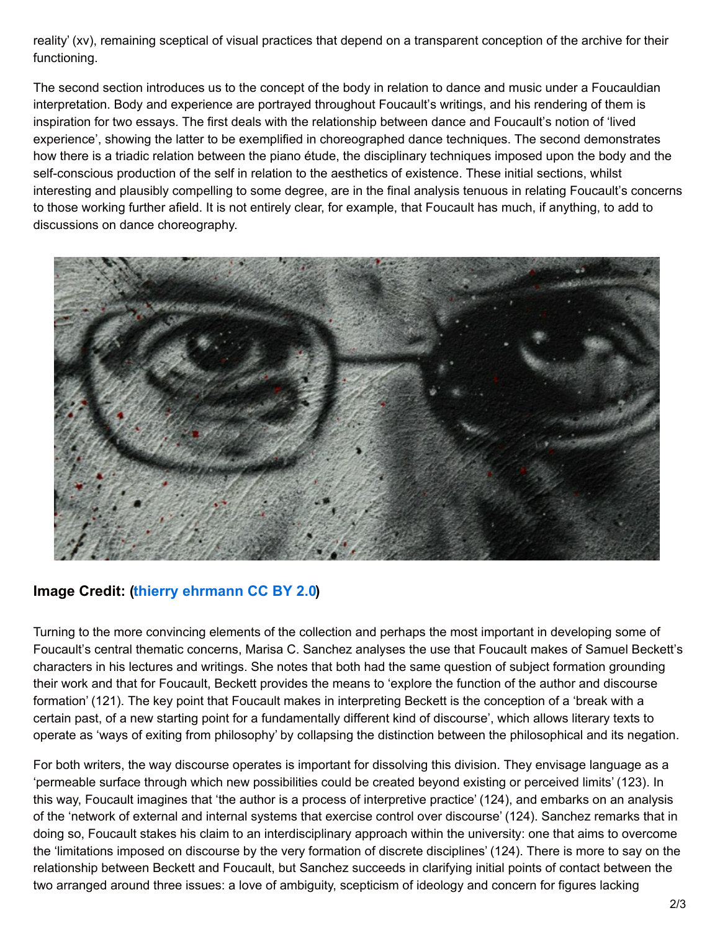reality' (xv), remaining sceptical of visual practices that depend on a transparent conception of the archive for their functioning.

The second section introduces us to the concept of the body in relation to dance and music under a Foucauldian interpretation. Body and experience are portrayed throughout Foucault's writings, and his rendering of them is inspiration for two essays. The first deals with the relationship between dance and Foucault's notion of 'lived experience', showing the latter to be exemplified in choreographed dance techniques. The second demonstrates how there is a triadic relation between the piano étude, the disciplinary techniques imposed upon the body and the self-conscious production of the self in relation to the aesthetics of existence. These initial sections, whilst interesting and plausibly compelling to some degree, are in the final analysis tenuous in relating Foucault's concerns to those working further afield. It is not entirely clear, for example, that Foucault has much, if anything, to add to discussions on dance choreography.



## **Image Credit: (thierry [ehrmann](https://www.flickr.com/photos/home_of_chaos/2550922698/) CC BY 2.0)**

Turning to the more convincing elements of the collection and perhaps the most important in developing some of Foucault's central thematic concerns, Marisa C. Sanchez analyses the use that Foucault makes of Samuel Beckett's characters in his lectures and writings. She notes that both had the same question of subject formation grounding their work and that for Foucault, Beckett provides the means to 'explore the function of the author and discourse formation' (121). The key point that Foucault makes in interpreting Beckett is the conception of a 'break with a certain past, of a new starting point for a fundamentally different kind of discourse', which allows literary texts to operate as 'ways of exiting from philosophy' by collapsing the distinction between the philosophical and its negation.

For both writers, the way discourse operates is important for dissolving this division. They envisage language as a 'permeable surface through which new possibilities could be created beyond existing or perceived limits' (123). In this way, Foucault imagines that 'the author is a process of interpretive practice' (124), and embarks on an analysis of the 'network of external and internal systems that exercise control over discourse' (124). Sanchez remarks that in doing so, Foucault stakes his claim to an interdisciplinary approach within the university: one that aims to overcome the 'limitations imposed on discourse by the very formation of discrete disciplines' (124). There is more to say on the relationship between Beckett and Foucault, but Sanchez succeeds in clarifying initial points of contact between the two arranged around three issues: a love of ambiguity, scepticism of ideology and concern for figures lacking